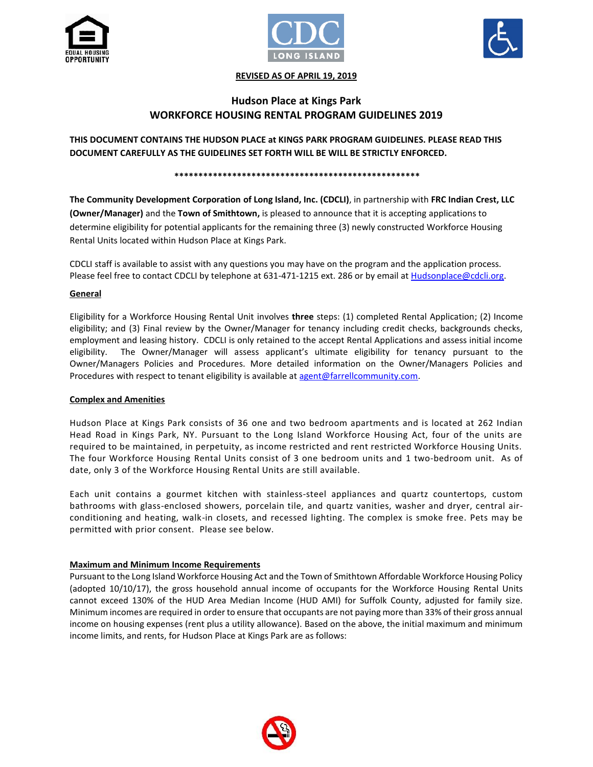





## **REVISED AS OF APRIL 19, 2019**

# **Hudson Place at Kings Park WORKFORCE HOUSING RENTAL PROGRAM GUIDELINES 2019**

**THIS DOCUMENT CONTAINS THE HUDSON PLACE at KINGS PARK PROGRAM GUIDELINES. PLEASE READ THIS DOCUMENT CAREFULLY AS THE GUIDELINES SET FORTH WILL BE WILL BE STRICTLY ENFORCED.**

**\*\*\*\*\*\*\*\*\*\*\*\*\*\*\*\*\*\*\*\*\*\*\*\*\*\*\*\*\*\*\*\*\*\*\*\*\*\*\*\*\*\*\*\*\*\*\*\*\*\*\***

**The Community Development Corporation of Long Island, Inc. (CDCLI)**, in partnership with **FRC Indian Crest, LLC (Owner/Manager)** and the **Town of Smithtown,** is pleased to announce that it is accepting applications to determine eligibility for potential applicants for the remaining three (3) newly constructed Workforce Housing Rental Units located within Hudson Place at Kings Park.

CDCLI staff is available to assist with any questions you may have on the program and the application process. Please feel free to contact CDCLI by telephone at 631-471-1215 ext. 286 or by email a[t Hudsonplace@cdcli.org.](mailto:Hudsonplace@cdcli.org)

## **General**

Eligibility for a Workforce Housing Rental Unit involves **three** steps: (1) completed Rental Application; (2) Income eligibility; and (3) Final review by the Owner/Manager for tenancy including credit checks, backgrounds checks, employment and leasing history. CDCLI is only retained to the accept Rental Applications and assess initial income eligibility. The Owner/Manager will assess applicant's ultimate eligibility for tenancy pursuant to the Owner/Managers Policies and Procedures. More detailed information on the Owner/Managers Policies and Procedures with respect to tenant eligibility is available at [agent@farrellcommunity.com.](mailto:agent@farrellcommunity.com)

### **Complex and Amenities**

Hudson Place at Kings Park consists of 36 one and two bedroom apartments and is located at 262 Indian Head Road in Kings Park, NY. Pursuant to the Long Island Workforce Housing Act, four of the units are required to be maintained, in perpetuity, as income restricted and rent restricted Workforce Housing Units. The four Workforce Housing Rental Units consist of 3 one bedroom units and 1 two-bedroom unit. As of date, only 3 of the Workforce Housing Rental Units are still available.

Each unit contains a gourmet kitchen with stainless-steel appliances and quartz countertops, custom bathrooms with glass-enclosed showers, porcelain tile, and quartz vanities, washer and dryer, central airconditioning and heating, walk-in closets, and recessed lighting. The complex is smoke free. Pets may be permitted with prior consent. Please see below.

## **Maximum and Minimum Income Requirements**

Pursuant to the Long Island Workforce Housing Act and the Town of Smithtown Affordable Workforce Housing Policy (adopted 10/10/17), the gross household annual income of occupants for the Workforce Housing Rental Units cannot exceed 130% of the HUD Area Median Income (HUD AMI) for Suffolk County, adjusted for family size. Minimum incomes are required in order to ensure that occupants are not paying more than 33% of their gross annual income on housing expenses (rent plus a utility allowance). Based on the above, the initial maximum and minimum income limits, and rents, for Hudson Place at Kings Park are as follows:

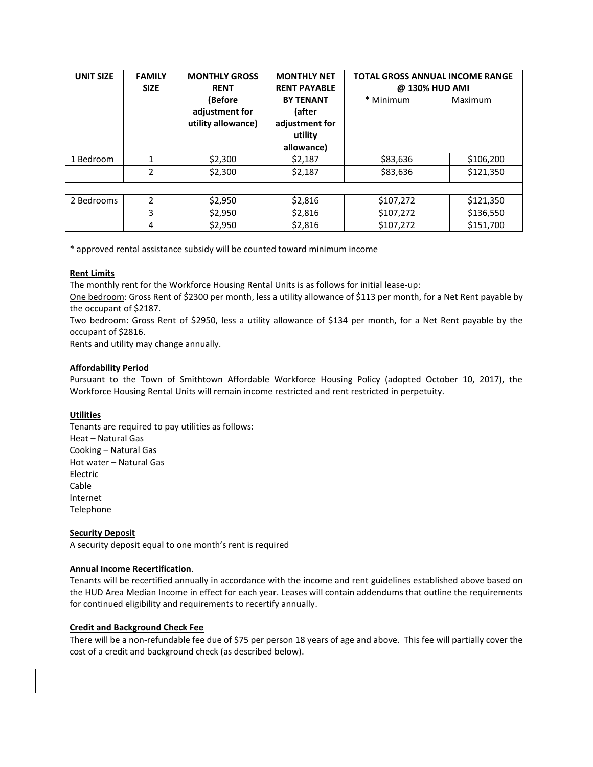| <b>UNIT SIZE</b> | <b>FAMILY</b><br><b>SIZE</b> | <b>MONTHLY GROSS</b><br><b>RENT</b>             | <b>MONTHLY NET</b><br><b>RENT PAYABLE</b>               | <b>TOTAL GROSS ANNUAL INCOME RANGE</b><br>@ 130% HUD AMI |           |
|------------------|------------------------------|-------------------------------------------------|---------------------------------------------------------|----------------------------------------------------------|-----------|
|                  |                              | (Before<br>adjustment for<br>utility allowance) | <b>BY TENANT</b><br>(after<br>adjustment for<br>utility | * Minimum                                                | Maximum   |
|                  |                              |                                                 | allowance)                                              |                                                          |           |
| 1 Bedroom        |                              | \$2,300                                         | \$2,187                                                 | \$83,636                                                 | \$106,200 |
|                  | $\overline{2}$               | \$2,300                                         | \$2,187                                                 | \$83,636                                                 | \$121,350 |
|                  |                              |                                                 |                                                         |                                                          |           |
| 2 Bedrooms       | 2                            | \$2,950                                         | \$2,816                                                 | \$107,272                                                | \$121,350 |
|                  | 3                            | \$2,950                                         | \$2,816                                                 | \$107,272                                                | \$136,550 |
|                  | 4                            | \$2,950                                         | \$2,816                                                 | \$107,272                                                | \$151,700 |

\* approved rental assistance subsidy will be counted toward minimum income

#### **Rent Limits**

The monthly rent for the Workforce Housing Rental Units is as follows for initial lease-up:

One bedroom: Gross Rent of \$2300 per month, less a utility allowance of \$113 per month, for a Net Rent payable by the occupant of \$2187.

Two bedroom: Gross Rent of \$2950, less a utility allowance of \$134 per month, for a Net Rent payable by the occupant of \$2816.

Rents and utility may change annually.

### **Affordability Period**

Pursuant to the Town of Smithtown Affordable Workforce Housing Policy (adopted October 10, 2017), the Workforce Housing Rental Units will remain income restricted and rent restricted in perpetuity.

### **Utilities**

Tenants are required to pay utilities as follows: Heat – Natural Gas Cooking – Natural Gas Hot water – Natural Gas Electric Cable Internet Telephone

#### **Security Deposit**

A security deposit equal to one month's rent is required

#### **Annual Income Recertification**.

Tenants will be recertified annually in accordance with the income and rent guidelines established above based on the HUD Area Median Income in effect for each year. Leases will contain addendums that outline the requirements for continued eligibility and requirements to recertify annually.

#### **Credit and Background Check Fee**

There will be a non-refundable fee due of \$75 per person 18 years of age and above. This fee will partially cover the cost of a credit and background check (as described below).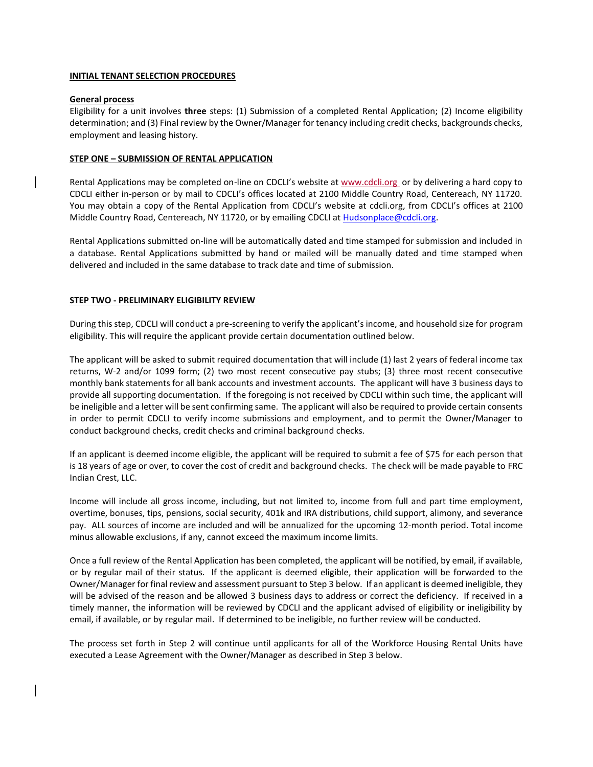#### **INITIAL TENANT SELECTION PROCEDURES**

#### **General process**

Eligibility for a unit involves **three** steps: (1) Submission of a completed Rental Application; (2) Income eligibility determination; and (3) Final review by the Owner/Manager for tenancy including credit checks, backgrounds checks, employment and leasing history.

#### **STEP ONE – SUBMISSION OF RENTAL APPLICATION**

Rental Applications may be completed on-line on CDCLI's website at [www.cdcli.org](http://www.cdcli.org/) or by delivering a hard copy to CDCLI either in-person or by mail to CDCLI's offices located at 2100 Middle Country Road, Centereach, NY 11720. You may obtain a copy of the Rental Application from CDCLI's website at cdcli.org, from CDCLI's offices at 2100 Middle Country Road, Centereach, NY 11720, or by emailing CDCLI at [Hudsonplace@cdcli.org.](mailto:Hudsonplace@cdcli.org)

Rental Applications submitted on-line will be automatically dated and time stamped for submission and included in a database. Rental Applications submitted by hand or mailed will be manually dated and time stamped when delivered and included in the same database to track date and time of submission.

#### **STEP TWO - PRELIMINARY ELIGIBILITY REVIEW**

During this step, CDCLI will conduct a pre-screening to verify the applicant's income, and household size for program eligibility. This will require the applicant provide certain documentation outlined below.

The applicant will be asked to submit required documentation that will include (1) last 2 years of federal income tax returns, W-2 and/or 1099 form; (2) two most recent consecutive pay stubs; (3) three most recent consecutive monthly bank statements for all bank accounts and investment accounts. The applicant will have 3 business days to provide all supporting documentation. If the foregoing is not received by CDCLI within such time, the applicant will be ineligible and a letter will be sent confirming same. The applicant will also be required to provide certain consents in order to permit CDCLI to verify income submissions and employment, and to permit the Owner/Manager to conduct background checks, credit checks and criminal background checks.

If an applicant is deemed income eligible, the applicant will be required to submit a fee of \$75 for each person that is 18 years of age or over, to cover the cost of credit and background checks. The check will be made payable to FRC Indian Crest, LLC.

Income will include all gross income, including, but not limited to, income from full and part time employment, overtime, bonuses, tips, pensions, social security, 401k and IRA distributions, child support, alimony, and severance pay. ALL sources of income are included and will be annualized for the upcoming 12-month period. Total income minus allowable exclusions, if any, cannot exceed the maximum income limits.

Once a full review of the Rental Application has been completed, the applicant will be notified, by email, if available, or by regular mail of their status. If the applicant is deemed eligible, their application will be forwarded to the Owner/Manager for final review and assessment pursuant to Step 3 below. If an applicant is deemed ineligible, they will be advised of the reason and be allowed 3 business days to address or correct the deficiency. If received in a timely manner, the information will be reviewed by CDCLI and the applicant advised of eligibility or ineligibility by email, if available, or by regular mail. If determined to be ineligible, no further review will be conducted.

The process set forth in Step 2 will continue until applicants for all of the Workforce Housing Rental Units have executed a Lease Agreement with the Owner/Manager as described in Step 3 below.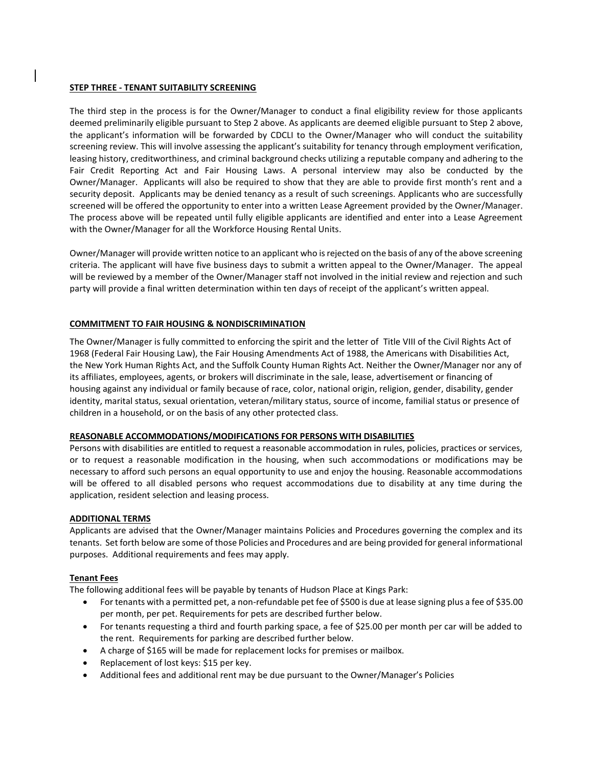#### **STEP THREE - TENANT SUITABILITY SCREENING**

The third step in the process is for the Owner/Manager to conduct a final eligibility review for those applicants deemed preliminarily eligible pursuant to Step 2 above. As applicants are deemed eligible pursuant to Step 2 above, the applicant's information will be forwarded by CDCLI to the Owner/Manager who will conduct the suitability screening review. This will involve assessing the applicant's suitability for tenancy through employment verification, leasing history, creditworthiness, and criminal background checks utilizing a reputable company and adhering to the Fair Credit Reporting Act and Fair Housing Laws. A personal interview may also be conducted by the Owner/Manager. Applicants will also be required to show that they are able to provide first month's rent and a security deposit. Applicants may be denied tenancy as a result of such screenings. Applicants who are successfully screened will be offered the opportunity to enter into a written Lease Agreement provided by the Owner/Manager. The process above will be repeated until fully eligible applicants are identified and enter into a Lease Agreement with the Owner/Manager for all the Workforce Housing Rental Units.

Owner/Manager will provide written notice to an applicant who is rejected on the basis of any of the above screening criteria. The applicant will have five business days to submit a written appeal to the Owner/Manager. The appeal will be reviewed by a member of the Owner/Manager staff not involved in the initial review and rejection and such party will provide a final written determination within ten days of receipt of the applicant's written appeal.

## **COMMITMENT TO FAIR HOUSING & NONDISCRIMINATION**

The Owner/Manager is fully committed to enforcing the spirit and the letter of Title VIII of the Civil Rights Act of 1968 (Federal Fair Housing Law), the Fair Housing Amendments Act of 1988, the Americans with Disabilities Act, the New York Human Rights Act, and the Suffolk County Human Rights Act. Neither the Owner/Manager nor any of its affiliates, employees, agents, or brokers will discriminate in the sale, lease, advertisement or financing of housing against any individual or family because of race, color, national origin, religion, gender, disability, gender identity, marital status, sexual orientation, veteran/military status, source of income, familial status or presence of children in a household, or on the basis of any other protected class.

### **REASONABLE ACCOMMODATIONS/MODIFICATIONS FOR PERSONS WITH DISABILITIES**

Persons with disabilities are entitled to request a reasonable accommodation in rules, policies, practices or services, or to request a reasonable modification in the housing, when such accommodations or modifications may be necessary to afford such persons an equal opportunity to use and enjoy the housing. Reasonable accommodations will be offered to all disabled persons who request accommodations due to disability at any time during the application, resident selection and leasing process.

#### **ADDITIONAL TERMS**

Applicants are advised that the Owner/Manager maintains Policies and Procedures governing the complex and its tenants. Set forth below are some of those Policies and Procedures and are being provided for general informational purposes. Additional requirements and fees may apply.

### **Tenant Fees**

The following additional fees will be payable by tenants of Hudson Place at Kings Park:

- For tenants with a permitted pet, a non-refundable pet fee of \$500 is due at lease signing plus a fee of \$35.00 per month, per pet. Requirements for pets are described further below.
- For tenants requesting a third and fourth parking space, a fee of \$25.00 per month per car will be added to the rent. Requirements for parking are described further below.
- A charge of \$165 will be made for replacement locks for premises or mailbox.
- Replacement of lost keys: \$15 per key.
- Additional fees and additional rent may be due pursuant to the Owner/Manager's Policies